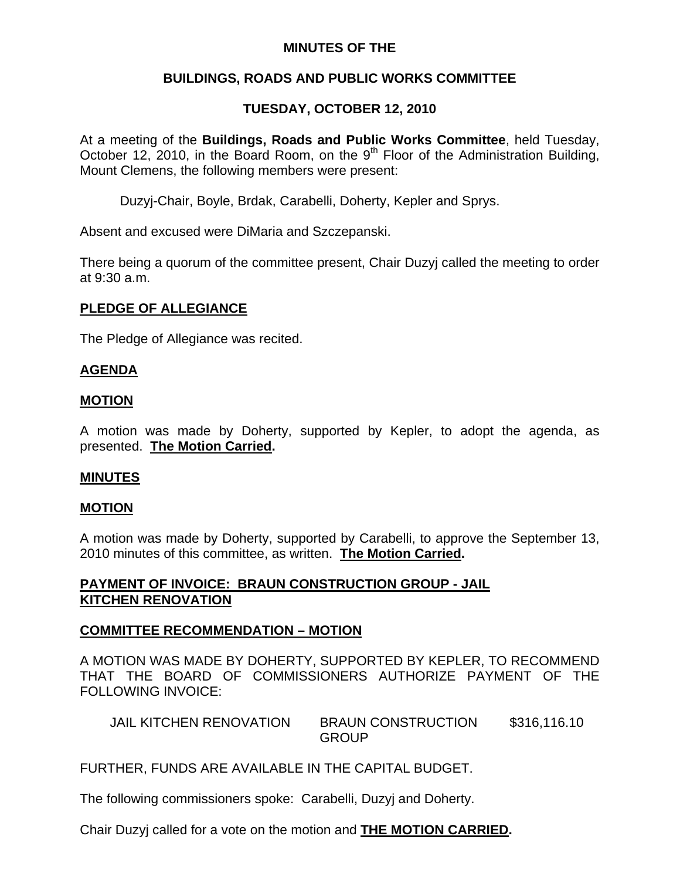## **MINUTES OF THE**

# **BUILDINGS, ROADS AND PUBLIC WORKS COMMITTEE**

# **TUESDAY, OCTOBER 12, 2010**

At a meeting of the **Buildings, Roads and Public Works Committee**, held Tuesday, October 12, 2010, in the Board Room, on the  $9<sup>th</sup>$  Floor of the Administration Building, Mount Clemens, the following members were present:

Duzyj-Chair, Boyle, Brdak, Carabelli, Doherty, Kepler and Sprys.

Absent and excused were DiMaria and Szczepanski.

There being a quorum of the committee present, Chair Duzyj called the meeting to order at 9:30 a.m.

## **PLEDGE OF ALLEGIANCE**

The Pledge of Allegiance was recited.

## **AGENDA**

#### **MOTION**

A motion was made by Doherty, supported by Kepler, to adopt the agenda, as presented. **The Motion Carried.** 

#### **MINUTES**

#### **MOTION**

A motion was made by Doherty, supported by Carabelli, to approve the September 13, 2010 minutes of this committee, as written. **The Motion Carried.** 

## **PAYMENT OF INVOICE: BRAUN CONSTRUCTION GROUP - JAIL KITCHEN RENOVATION**

## **COMMITTEE RECOMMENDATION – MOTION**

A MOTION WAS MADE BY DOHERTY, SUPPORTED BY KEPLER, TO RECOMMEND THAT THE BOARD OF COMMISSIONERS AUTHORIZE PAYMENT OF THE FOLLOWING INVOICE:

| <b>JAIL KITCHEN RENOVATION</b> | <b>BRAUN CONSTRUCTION</b> | \$316,116.10 |
|--------------------------------|---------------------------|--------------|
|                                | <b>GROUP</b>              |              |

FURTHER, FUNDS ARE AVAILABLE IN THE CAPITAL BUDGET.

The following commissioners spoke: Carabelli, Duzyj and Doherty.

Chair Duzyj called for a vote on the motion and **THE MOTION CARRIED.**